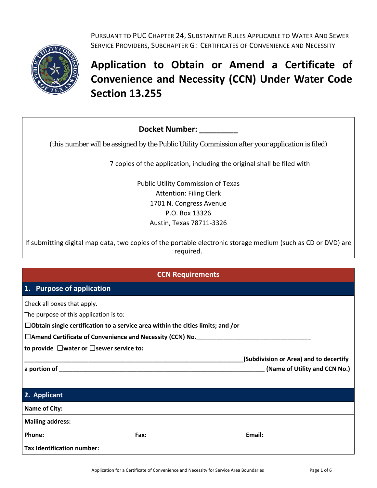

PURSUANT TO PUC CHAPTER 24, SUBSTANTIVE RULES APPLICABLE TO WATER AND SEWER SERVICE PROVIDERS, SUBCHAPTER G: CERTIFICATES OF CONVENIENCE AND NECESSITY

# **Application to Obtain or Amend a Certificate of Convenience and Necessity (CCN) Under Water Code Section 13.255**

| <b>Docket Number:</b>                                                                           |
|-------------------------------------------------------------------------------------------------|
| (this number will be assigned by the Public Utility Commission after your application is filed) |
| 7 copies of the application, including the original shall be filed with                         |
| <b>Public Utility Commission of Texas</b>                                                       |
| <b>Attention: Filing Clerk</b>                                                                  |
| 1701 N. Congress Avenue                                                                         |
| P.O. Box 13326                                                                                  |
| Austin, Texas 78711-3326                                                                        |

If submitting digital map data, two copies of the portable electronic storage medium (such as CD or DVD) are required.

| <b>CCN Requirements</b> |
|-------------------------|
|-------------------------|

### **1. Purpose of application**

Check all boxes that apply.

The purpose of this application is to:

☐**Obtain single certification to a service area within the cities limits; and /or**

☐**Amend Certificate of Convenience and Necessity (CCN) No.\_\_\_\_\_\_\_\_\_\_\_\_\_\_\_\_\_\_\_\_\_\_\_\_\_\_\_\_\_\_\_\_\_\_**

**to provide** ☐**water or** ☐**sewer service to:**

**\_\_\_\_\_\_\_\_\_\_\_\_\_\_\_\_\_\_\_\_\_\_\_\_\_\_\_\_\_\_\_\_\_\_\_\_\_\_\_\_\_\_\_\_\_\_\_\_\_\_\_\_\_\_\_\_\_\_\_\_\_\_\_\_\_(Subdivision or Area) and to decertify a portion of \_\_\_\_\_\_\_\_\_\_\_\_\_\_\_\_\_\_\_\_\_\_\_\_\_\_\_\_\_\_\_\_\_\_\_\_\_\_\_\_\_\_\_\_\_\_\_\_\_\_\_\_\_\_\_\_\_\_\_\_\_ (Name of Utility and CCN No.)**

| 2. Applicant                      |      |        |
|-----------------------------------|------|--------|
| Name of City:                     |      |        |
| <b>Mailing address:</b>           |      |        |
| Phone:                            | Fax: | Email: |
| <b>Tax Identification number:</b> |      |        |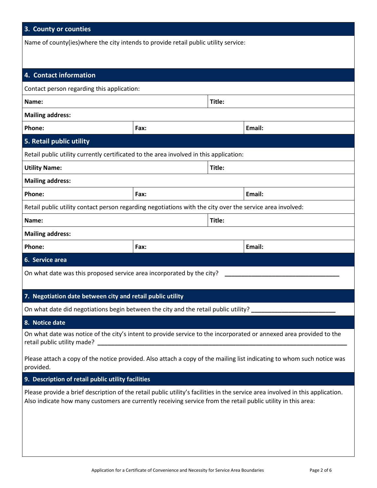## **3. County or counties**

Name of county(ies)where the city intends to provide retail public utility service:

| 4. Contact information                                                                                                                                                                                                                                                                    |      |        |        |  |
|-------------------------------------------------------------------------------------------------------------------------------------------------------------------------------------------------------------------------------------------------------------------------------------------|------|--------|--------|--|
| Contact person regarding this application:                                                                                                                                                                                                                                                |      |        |        |  |
| Name:                                                                                                                                                                                                                                                                                     |      |        | Title: |  |
| <b>Mailing address:</b>                                                                                                                                                                                                                                                                   |      |        |        |  |
| Phone:                                                                                                                                                                                                                                                                                    | Fax: |        | Email: |  |
| 5. Retail public utility                                                                                                                                                                                                                                                                  |      |        |        |  |
| Retail public utility currently certificated to the area involved in this application:                                                                                                                                                                                                    |      |        |        |  |
| <b>Utility Name:</b>                                                                                                                                                                                                                                                                      |      | Title: |        |  |
| <b>Mailing address:</b>                                                                                                                                                                                                                                                                   |      |        |        |  |
| Phone:                                                                                                                                                                                                                                                                                    | Fax: |        | Email: |  |
| Retail public utility contact person regarding negotiations with the city over the service area involved:                                                                                                                                                                                 |      |        |        |  |
| Name:                                                                                                                                                                                                                                                                                     |      | Title: |        |  |
| <b>Mailing address:</b>                                                                                                                                                                                                                                                                   |      |        |        |  |
| Phone:                                                                                                                                                                                                                                                                                    | Fax: |        | Email: |  |
| 6. Service area                                                                                                                                                                                                                                                                           |      |        |        |  |
| On what date was this proposed service area incorporated by the city?                                                                                                                                                                                                                     |      |        |        |  |
| 7. Negotiation date between city and retail public utility                                                                                                                                                                                                                                |      |        |        |  |
| On what date did negotiations begin between the city and the retail public utility?                                                                                                                                                                                                       |      |        |        |  |
| 8. Notice date                                                                                                                                                                                                                                                                            |      |        |        |  |
| On what date was notice of the city's intent to provide service to the incorporated or annexed area provided to the<br>retail public utility made?<br>Please attach a copy of the notice provided. Also attach a copy of the mailing list indicating to whom such notice was<br>provided. |      |        |        |  |
| 9. Description of retail public utility facilities                                                                                                                                                                                                                                        |      |        |        |  |
| Please provide a brief description of the retail public utility's facilities in the service area involved in this application.<br>Also indicate how many customers are currently receiving service from the retail public utility in this area:                                           |      |        |        |  |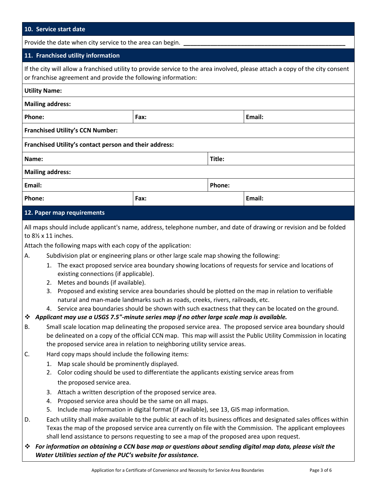#### **10. Service start date**

Provide the date when city service to the area can begin.

#### **11. Franchised utility information**

If the city will allow a franchised utility to provide service to the area involved, please attach a copy of the city consent or franchise agreement and provide the following information:

| <b>Utility Name:</b>                                   |      |        |        |
|--------------------------------------------------------|------|--------|--------|
| <b>Mailing address:</b>                                |      |        |        |
| Phone:                                                 | Fax: |        | Email: |
| <b>Franchised Utility's CCN Number:</b>                |      |        |        |
| Franchised Utility's contact person and their address: |      |        |        |
| Name:                                                  |      | Title: |        |
| <b>Mailing address:</b>                                |      |        |        |
| Email:                                                 |      | Phone: |        |
| Phone:                                                 | Fax: |        | Email: |
| 12. Paper map requirements                             |      |        |        |

All maps should include applicant's name, address, telephone number, and date of drawing or revision and be folded to 8½ x 11 inches.

Attach the following maps with each copy of the application:

- A. Subdivision plat or engineering plans or other large scale map showing the following:
	- 1. The exact proposed service area boundary showing locations of requests for service and locations of existing connections (if applicable).
	- 2. Metes and bounds (if available).
	- 3. Proposed and existing service area boundaries should be plotted on the map in relation to verifiable natural and man-made landmarks such as roads, creeks, rivers, railroads, etc.
	- 4. Service area boundaries should be shown with such exactness that they can be located on the ground.

#### *Applicant may use a USGS 7.5"-minute series map if no other large scale map is available.*

- B. Small scale location map delineating the proposed service area. The proposed service area boundary should be delineated on a copy of the official CCN map. This map will assist the Public Utility Commission in locating the proposed service area in relation to neighboring utility service areas.
- C. Hard copy maps should include the following items:
	- 1. Map scale should be prominently displayed.
	- 2. Color coding should be used to differentiate the applicants existing service areas from the proposed service area.
	- 3. Attach a written description of the proposed service area.
	- 4. Proposed service area should be the same on all maps.
	- 5. Include map information in digital format (if available), see 13, GIS map information.
- D. Each utility shall make available to the public at each of its business offices and designated sales offices within Texas the map of the proposed service area currently on file with the Commission. The applicant employees shall lend assistance to persons requesting to see a map of the proposed area upon request.
- *For information on obtaining a CCN base map or questions about sending digital map data, please visit the Water Utilities section of the PUC's website for assistance.*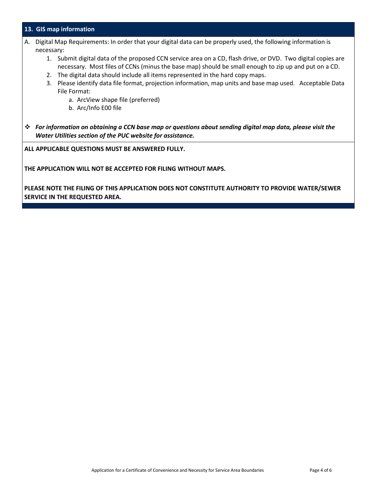#### **13. GIS map information**

- A. Digital Map Requirements: In order that your digital data can be properly used, the following information is necessary:
	- 1. Submit digital data of the proposed CCN service area on a CD, flash drive, or DVD. Two digital copies are necessary. Most files of CCNs (minus the base map) should be small enough to zip up and put on a CD.
	- 2. The digital data should include all items represented in the hard copy maps.
	- 3. Please identify data file format, projection information, map units and base map used. Acceptable Data File Format:
		- a. ArcView shape file (preferred)
		- b. Arc/Info E00 file
- *For information on obtaining a CCN base map or questions about sending digital map data, please visit the Water Utilities section of the PUC website for assistance.*

**ALL APPLICABLE QUESTIONS MUST BE ANSWERED FULLY.** 

**THE APPLICATION WILL NOT BE ACCEPTED FOR FILING WITHOUT MAPS.**

**PLEASE NOTE THE FILING OF THIS APPLICATION DOES NOT CONSTITUTE AUTHORITY TO PROVIDE WATER/SEWER SERVICE IN THE REQUESTED AREA.**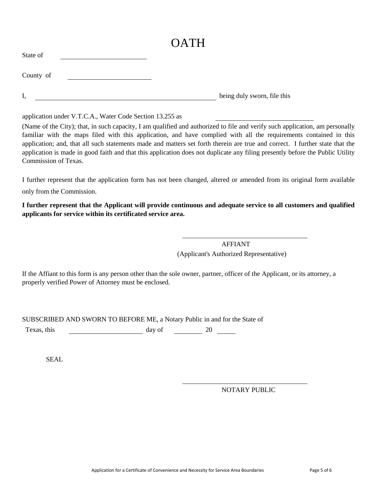## **C**<sub>T</sub> **OATH**

| State of  |                             |
|-----------|-----------------------------|
| County of |                             |
| I,        | being duly sworn, file this |

application under V.T.C.A., Water Code Section 13.255 as

(Name of the City); that, in such capacity, I am qualified and authorized to file and verify such application, am personally familiar with the maps filed with this application, and have complied with all the requirements contained in this application; and, that all such statements made and matters set forth therein are true and correct. I further state that the application is made in good faith and that this application does not duplicate any filing presently before the Public Utility Commission of Texas.

I further represent that the application form has not been changed, altered or amended from its original form available only from the Commission.

**I further represent that the Applicant will provide continuous and adequate service to all customers and qualified applicants for service within its certificated service area.**

> AFFIANT (Applicant's Authorized Representative)

If the Affiant to this form is any person other than the sole owner, partner, officer of the Applicant, or its attorney, a properly verified Power of Attorney must be enclosed.

SUBSCRIBED AND SWORN TO BEFORE ME, a Notary Public in and for the State of

Texas, this day of 20 20

SEAL

NOTARY PUBLIC